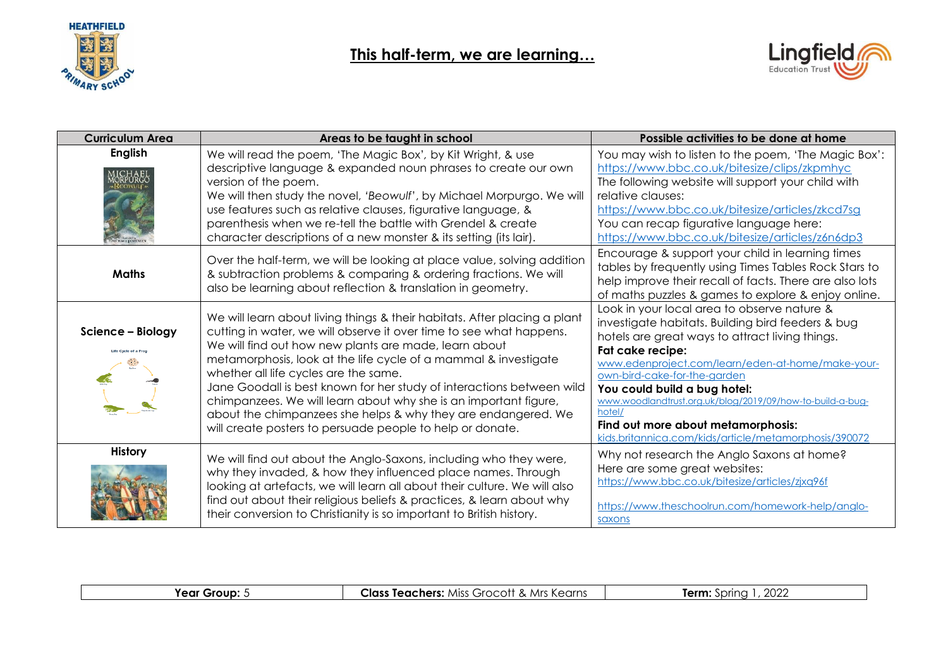



| <b>Curriculum Area</b>                    | Areas to be taught in school                                                                                                                                                                                                                                                                                                                                                                                                                                                                                                                                                                     | Possible activities to be done at home                                                                                                                                                                                                                                                                                                                                                                                                                             |
|-------------------------------------------|--------------------------------------------------------------------------------------------------------------------------------------------------------------------------------------------------------------------------------------------------------------------------------------------------------------------------------------------------------------------------------------------------------------------------------------------------------------------------------------------------------------------------------------------------------------------------------------------------|--------------------------------------------------------------------------------------------------------------------------------------------------------------------------------------------------------------------------------------------------------------------------------------------------------------------------------------------------------------------------------------------------------------------------------------------------------------------|
| <b>English</b>                            | We will read the poem, 'The Magic Box', by Kit Wright, & use<br>descriptive language & expanded noun phrases to create our own<br>version of the poem.<br>We will then study the novel, 'Beowulf', by Michael Morpurgo. We will<br>use features such as relative clauses, figurative language, &<br>parenthesis when we re-tell the battle with Grendel & create<br>character descriptions of a new monster & its setting (its lair).                                                                                                                                                            | You may wish to listen to the poem, 'The Magic Box':<br>https://www.bbc.co.uk/bitesize/clips/zkpmhyc<br>The following website will support your child with<br>relative clauses:<br>https://www.bbc.co.uk/bitesize/articles/zkcd7sg<br>You can recap figurative language here:<br>https://www.bbc.co.uk/bitesize/articles/z6n6dp3                                                                                                                                   |
| <b>Maths</b>                              | Over the half-term, we will be looking at place value, solving addition<br>& subtraction problems & comparing & ordering fractions. We will<br>also be learning about reflection & translation in geometry.                                                                                                                                                                                                                                                                                                                                                                                      | Encourage & support your child in learning times<br>tables by frequently using Times Tables Rock Stars to<br>help improve their recall of facts. There are also lots<br>of maths puzzles & games to explore & enjoy online.                                                                                                                                                                                                                                        |
| Science - Biology<br>Life Cycle of a Frog | We will learn about living things & their habitats. After placing a plant<br>cutting in water, we will observe it over time to see what happens.<br>We will find out how new plants are made, learn about<br>metamorphosis, look at the life cycle of a mammal & investigate<br>whether all life cycles are the same.<br>Jane Goodall is best known for her study of interactions between wild<br>chimpanzees. We will learn about why she is an important figure,<br>about the chimpanzees she helps & why they are endangered. We<br>will create posters to persuade people to help or donate. | Look in your local area to observe nature &<br>investigate habitats. Building bird feeders & bug<br>hotels are great ways to attract living things.<br>Fat cake recipe:<br>www.edenproject.com/learn/eden-at-home/make-your-<br>own-bird-cake-for-the-garden<br>You could build a bug hotel:<br>www.woodlandtrust.org.uk/blog/2019/09/how-to-build-a-bug-<br>hotel/<br>Find out more about metamorphosis:<br>kids.britannica.com/kids/article/metamorphosis/390072 |
| <b>History</b>                            | We will find out about the Anglo-Saxons, including who they were,<br>why they invaded, & how they influenced place names. Through<br>looking at artefacts, we will learn all about their culture. We will also<br>find out about their religious beliefs & practices, & learn about why<br>their conversion to Christianity is so important to British history.                                                                                                                                                                                                                                  | Why not research the Anglo Saxons at home?<br>Here are some great websites:<br>https://www.bbc.co.uk/bitesize/articles/zjxq96f<br>https://www.theschoolrun.com/homework-help/anglo-<br>saxons                                                                                                                                                                                                                                                                      |

|  | <b>Year Group:</b> 5 | . Mrs Kearns<br>Miss (<br>Class<br>. Teachers:<br>Grocott | $\sim$<br><b>ferm</b><br>Sprinc<br>- 2022<br>$\cdot$ ) k |
|--|----------------------|-----------------------------------------------------------|----------------------------------------------------------|
|--|----------------------|-----------------------------------------------------------|----------------------------------------------------------|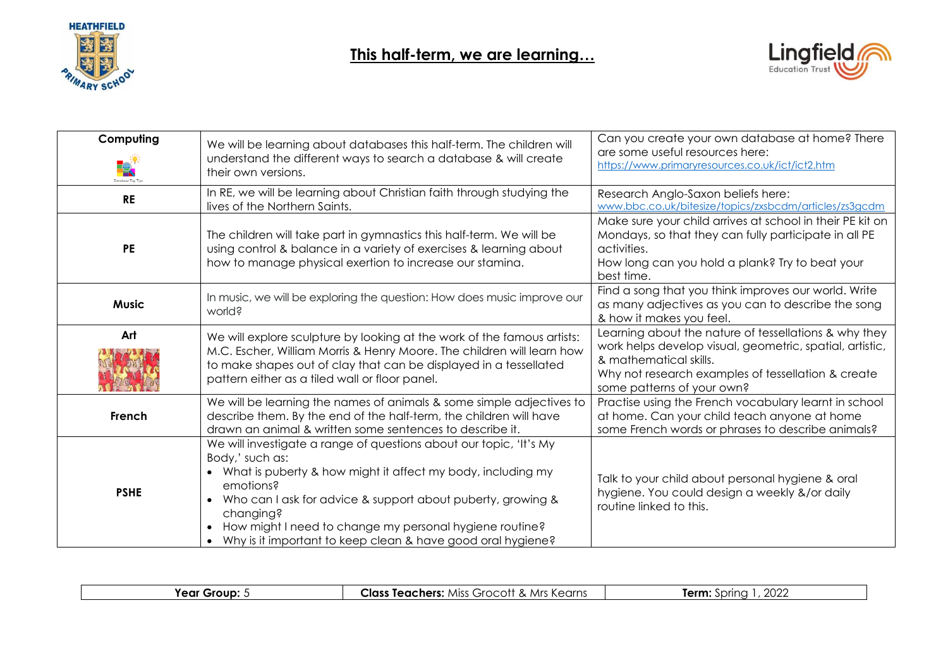



| Computing              | We will be learning about databases this half-term. The children will                                                                                                                                                                                                                                                                                                                             | Can you create your own database at home? There<br>are some useful resources here:                                                                                                                                              |
|------------------------|---------------------------------------------------------------------------------------------------------------------------------------------------------------------------------------------------------------------------------------------------------------------------------------------------------------------------------------------------------------------------------------------------|---------------------------------------------------------------------------------------------------------------------------------------------------------------------------------------------------------------------------------|
| ę,<br>Database Top Tip | understand the different ways to search a database & will create<br>their own versions.                                                                                                                                                                                                                                                                                                           | https://www.primaryresources.co.uk/ict/ict2.htm                                                                                                                                                                                 |
| <b>RE</b>              | In RE, we will be learning about Christian faith through studying the<br>lives of the Northern Saints.                                                                                                                                                                                                                                                                                            | Research Anglo-Saxon beliefs here:<br>www.bbc.co.uk/bitesize/topics/zxsbcdm/articles/zs3gcdm                                                                                                                                    |
| <b>PE</b>              | The children will take part in gymnastics this half-term. We will be<br>using control & balance in a variety of exercises & learning about<br>how to manage physical exertion to increase our stamina.                                                                                                                                                                                            | Make sure your child arrives at school in their PE kit on<br>Mondays, so that they can fully participate in all PE<br>activities.<br>How long can you hold a plank? Try to beat your<br>best time.                              |
| <b>Music</b>           | In music, we will be exploring the question: How does music improve our<br>world?                                                                                                                                                                                                                                                                                                                 | Find a song that you think improves our world. Write<br>as many adjectives as you can to describe the song<br>& how it makes you feel.                                                                                          |
| Art                    | We will explore sculpture by looking at the work of the famous artists:<br>M.C. Escher, William Morris & Henry Moore. The children will learn how<br>to make shapes out of clay that can be displayed in a tessellated<br>pattern either as a tiled wall or floor panel.                                                                                                                          | Learning about the nature of tessellations & why they<br>work helps develop visual, geometric, spatial, artistic,<br>& mathematical skills.<br>Why not research examples of tessellation & create<br>some patterns of your own? |
| French                 | We will be learning the names of animals & some simple adjectives to<br>describe them. By the end of the half-term, the children will have<br>drawn an animal & written some sentences to describe it.                                                                                                                                                                                            | Practise using the French vocabulary learnt in school<br>at home. Can your child teach anyone at home<br>some French words or phrases to describe animals?                                                                      |
| <b>PSHE</b>            | We will investigate a range of questions about our topic, 'It's My<br>Body,' such as:<br>What is puberty & how might it affect my body, including my<br>$\bullet$<br>emotions?<br>Who can I ask for advice & support about puberty, growing &<br>$\bullet$<br>changing?<br>How might I need to change my personal hygiene routine?<br>Why is it important to keep clean & have good oral hygiene? | Talk to your child about personal hygiene & oral<br>hygiene. You could design a weekly &/or daily<br>routine linked to this.                                                                                                    |

| Class<br>ierm<br>Mrs<br>Teachers:<br>,nrınc<br>Miss<br><b>Group</b><br>rear<br>$\mathbf{r}$<br>- LULL<br>.<br>$\sim$<br>$\overline{\phantom{a}}$<br><u>UU</u><br>.<br>--- |  |  |
|---------------------------------------------------------------------------------------------------------------------------------------------------------------------------|--|--|
|---------------------------------------------------------------------------------------------------------------------------------------------------------------------------|--|--|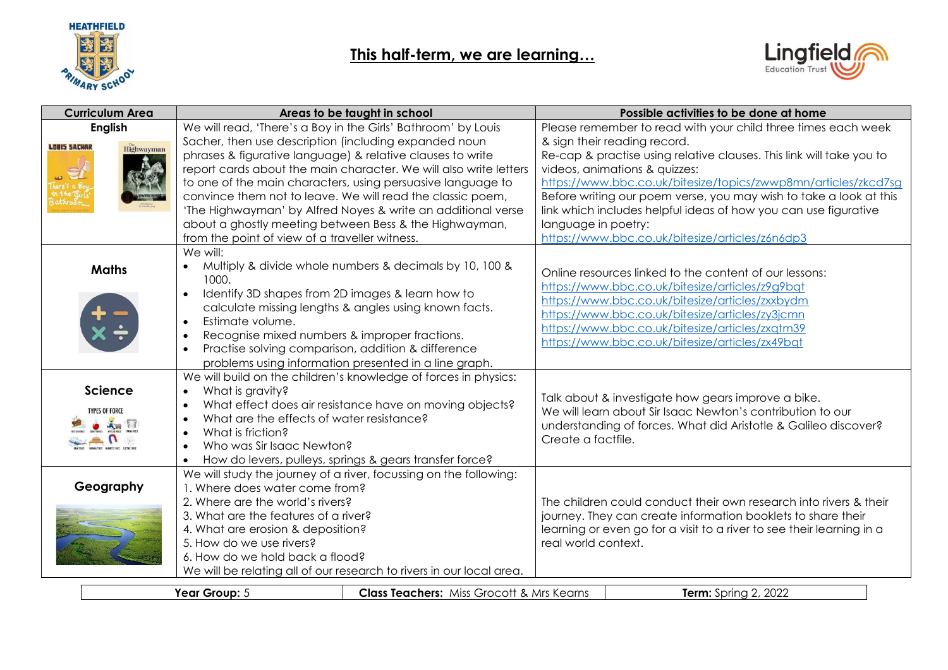

## **This half-term, we are learning…**



|                     | <b>Curriculum Area</b> | Areas to be taught in school                                                                                                              |                                                         |                     | Possible activities to be done at home                                |
|---------------------|------------------------|-------------------------------------------------------------------------------------------------------------------------------------------|---------------------------------------------------------|---------------------|-----------------------------------------------------------------------|
|                     | <b>English</b>         | We will read, 'There's a Boy in the Girls' Bathroom' by Louis                                                                             |                                                         |                     | Please remember to read with your child three times each week         |
| <b>LOUIS SACHAR</b> | Highwayman             | Sacher, then use description (including expanded noun                                                                                     |                                                         |                     | & sign their reading record.                                          |
|                     |                        | phrases & figurative language) & relative clauses to write                                                                                |                                                         |                     | Re-cap & practise using relative clauses. This link will take you to  |
|                     |                        | report cards about the main character. We will also write letters                                                                         |                                                         |                     | videos, animations & quizzes:                                         |
|                     |                        | to one of the main characters, using persuasive language to                                                                               |                                                         |                     | https://www.bbc.co.uk/bitesize/topics/zwwp8mn/articles/zkcd7sg        |
|                     |                        | convince them not to leave. We will read the classic poem,                                                                                |                                                         |                     | Before writing our poem verse, you may wish to take a look at this    |
|                     |                        | 'The Highwayman' by Alfred Noyes & write an additional verse                                                                              |                                                         |                     | link which includes helpful ideas of how you can use figurative       |
|                     |                        | about a ghostly meeting between Bess & the Highwayman,                                                                                    |                                                         | language in poetry: |                                                                       |
|                     |                        | from the point of view of a traveller witness.                                                                                            |                                                         |                     | https://www.bbc.co.uk/bitesize/articles/z6n6dp3                       |
|                     |                        | We will:                                                                                                                                  |                                                         |                     |                                                                       |
|                     | <b>Maths</b>           | Multiply & divide whole numbers & decimals by 10, 100 &                                                                                   |                                                         |                     | Online resources linked to the content of our lessons:                |
|                     |                        | 1000.                                                                                                                                     |                                                         |                     | https://www.bbc.co.uk/bitesize/articles/z9g9bqt                       |
|                     |                        | Identify 3D shapes from 2D images & learn how to<br>$\bullet$                                                                             |                                                         |                     | https://www.bbc.co.uk/bitesize/articles/zxxbydm                       |
|                     |                        | calculate missing lengths & angles using known facts.                                                                                     |                                                         |                     | https://www.bbc.co.uk/bitesize/articles/zy3jcmn                       |
|                     |                        | Estimate volume.<br>$\bullet$                                                                                                             |                                                         |                     | https://www.bbc.co.uk/bitesize/articles/zxqtm39                       |
|                     |                        | Recognise mixed numbers & improper fractions.<br>$\bullet$                                                                                |                                                         |                     | https://www.bbc.co.uk/bitesize/articles/zx49bqt                       |
|                     |                        | Practise solving comparison, addition & difference                                                                                        |                                                         |                     |                                                                       |
|                     |                        | problems using information presented in a line graph.                                                                                     |                                                         |                     |                                                                       |
|                     |                        | We will build on the children's knowledge of forces in physics:                                                                           |                                                         |                     |                                                                       |
|                     | <b>Science</b>         | What is gravity?                                                                                                                          |                                                         |                     | Talk about & investigate how gears improve a bike.                    |
|                     | <b>TYPES OF FORCE</b>  |                                                                                                                                           | What effect does air resistance have on moving objects? |                     | We will learn about Sir Isaac Newton's contribution to our            |
|                     |                        | What are the effects of water resistance?                                                                                                 |                                                         |                     | understanding of forces. What did Aristotle & Galileo discover?       |
|                     |                        | What is friction?<br>$\bullet$<br>Who was Sir Isaac Newton?                                                                               |                                                         | Create a factfile.  |                                                                       |
|                     |                        | $\bullet$                                                                                                                                 |                                                         |                     |                                                                       |
|                     |                        | How do levers, pulleys, springs & gears transfer force?<br>$\bullet$<br>We will study the journey of a river, focussing on the following: |                                                         |                     |                                                                       |
|                     | Geography              | 1. Where does water come from?                                                                                                            |                                                         |                     |                                                                       |
|                     |                        | 2. Where are the world's rivers?                                                                                                          |                                                         |                     | The children could conduct their own research into rivers & their     |
|                     |                        | 3. What are the features of a river?                                                                                                      |                                                         |                     | journey. They can create information booklets to share their          |
|                     |                        | 4. What are erosion & deposition?                                                                                                         |                                                         |                     | learning or even go for a visit to a river to see their learning in a |
|                     |                        | 5. How do we use rivers?                                                                                                                  |                                                         | real world context. |                                                                       |
|                     |                        | 6. How do we hold back a flood?                                                                                                           |                                                         |                     |                                                                       |
|                     |                        | We will be relating all of our research to rivers in our local area.                                                                      |                                                         |                     |                                                                       |
|                     |                        |                                                                                                                                           |                                                         |                     |                                                                       |
|                     |                        | Year Group: 5                                                                                                                             | <b>Class Teachers: Miss Grocott &amp; Mrs Kearns</b>    |                     | <b>Term:</b> Spring 2, 2022                                           |